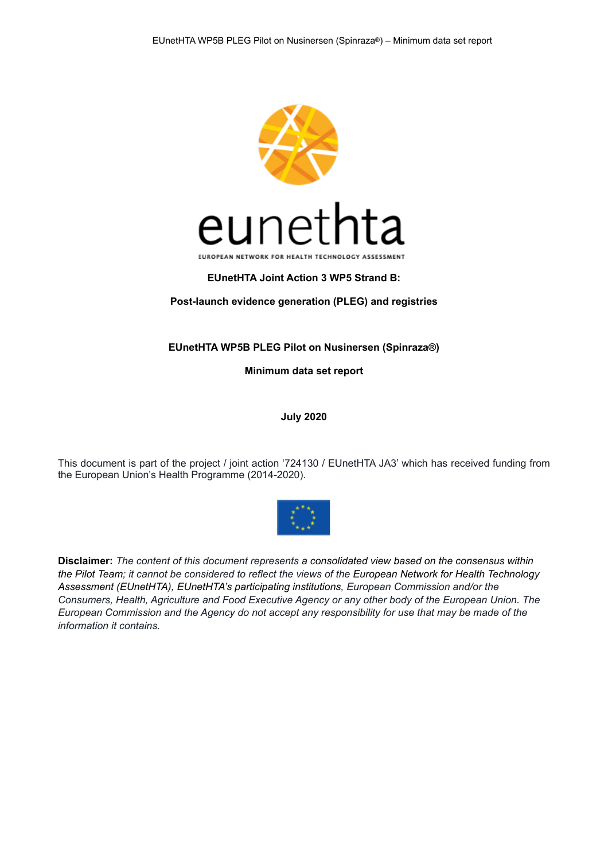

### **EUnetHTA Joint Action 3 WP5 Strand B:**

#### **Post-launch evidence generation (PLEG) and registries**

#### **EUnetHTA WP5B PLEG Pilot on Nusinersen (Spinraza®)**

**Minimum data set report** 

**July 2020** 

This document is part of the project / joint action '724130 / EUnetHTA JA3' which has received funding from the European Union's Health Programme (2014-2020).



**Disclaimer:** *The content of this document represents a consolidated view based on the consensus within the Pilot Team; it cannot be considered to reflect the views of the European Network for Health Technology Assessment (EUnetHTA), EUnetHTA's participating institutions, European Commission and/or the Consumers, Health, Agriculture and Food Executive Agency or any other body of the European Union. The European Commission and the Agency do not accept any responsibility for use that may be made of the information it contains.*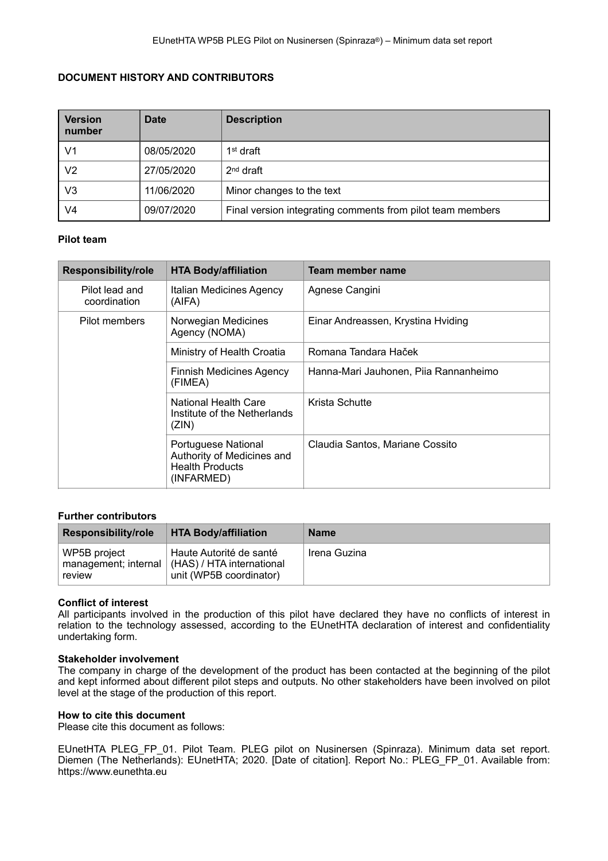### **DOCUMENT HISTORY AND CONTRIBUTORS**

| <b>Version</b><br>number | <b>Date</b> | <b>Description</b>                                         |
|--------------------------|-------------|------------------------------------------------------------|
| V1                       | 08/05/2020  | 1 <sup>st</sup> draft                                      |
| V2                       | 27/05/2020  | $2nd$ draft                                                |
| V3                       | 11/06/2020  | Minor changes to the text                                  |
| V4                       | 09/07/2020  | Final version integrating comments from pilot team members |

#### **Pilot team**

| <b>Responsibility/role</b>     | <b>HTA Body/affiliation</b>                                                               | Team member name                      |
|--------------------------------|-------------------------------------------------------------------------------------------|---------------------------------------|
| Pilot lead and<br>coordination | Italian Medicines Agency<br>(AIFA)                                                        | Agnese Cangini                        |
| Pilot members                  | Norwegian Medicines<br>Agency (NOMA)                                                      | Einar Andreassen, Krystina Hviding    |
|                                | Ministry of Health Croatia                                                                | Romana Tandara Haček                  |
|                                | <b>Finnish Medicines Agency</b><br>(FIMEA)                                                | Hanna-Mari Jauhonen, Piia Rannanheimo |
|                                | National Health Care<br>Institute of the Netherlands<br>(ZIN)                             | Krista Schutte                        |
|                                | Portuguese National<br>Authority of Medicines and<br><b>Health Products</b><br>(INFARMED) | Claudia Santos, Mariane Cossito       |

#### **Further contributors**

| <b>Responsibility/role</b>                     | <b>HTA Body/affiliation</b>                                                       | <b>Name</b>  |
|------------------------------------------------|-----------------------------------------------------------------------------------|--------------|
| WP5B project<br>management; internal<br>review | Haute Autorité de santé<br>  (HAS) / HTA international<br>unit (WP5B coordinator) | Irena Guzina |

#### **Conflict of interest**

All participants involved in the production of this pilot have declared they have no conflicts of interest in relation to the technology assessed, according to the EUnetHTA declaration of interest and confidentiality undertaking form.

#### **Stakeholder involvement**

The company in charge of the development of the product has been contacted at the beginning of the pilot and kept informed about different pilot steps and outputs. No other stakeholders have been involved on pilot level at the stage of the production of this report.

#### **How to cite this document**

Please cite this document as follows:

EUnetHTA PLEG\_FP\_01. Pilot Team. PLEG pilot on Nusinersen (Spinraza). Minimum data set report. Diemen (The Netherlands): EUnetHTA; 2020. [Date of citation]. Report No.: PLEG\_FP\_01. Available from: https://www.eunethta.eu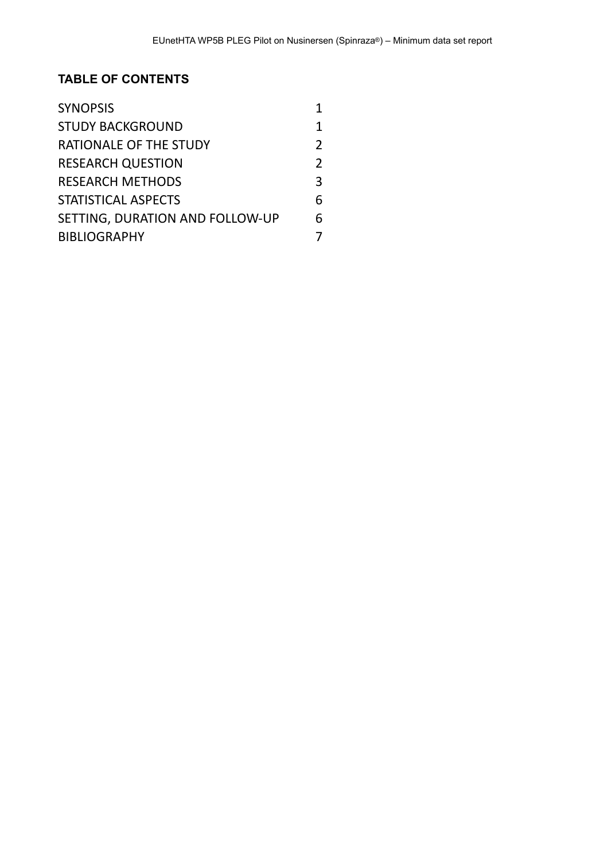# **TABLE OF CONTENTS**

| <b>SYNOPSIS</b>                 |               |
|---------------------------------|---------------|
| <b>STUDY BACKGROUND</b>         |               |
| RATIONALE OF THE STUDY          | $\mathcal{P}$ |
| <b>RESEARCH QUESTION</b>        |               |
| <b>RESEARCH METHODS</b>         | 3             |
| STATISTICAL ASPECTS             | 6             |
| SETTING, DURATION AND FOLLOW-UP | 6             |
| <b>BIBLIOGRAPHY</b>             |               |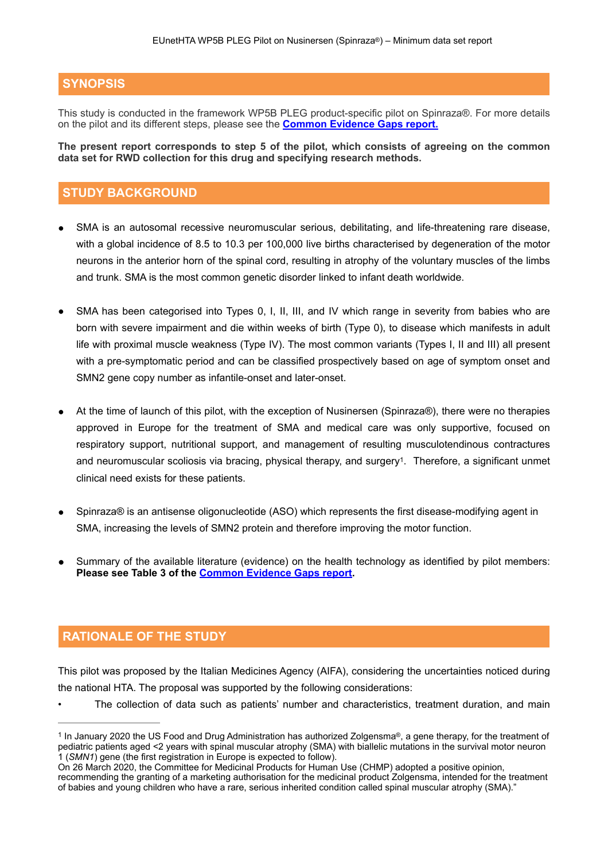# **SYNOPSIS**

This study is conducted in the framework WP5B PLEG product-specific pilot on Spinraza®. For more details on the pilot and its different steps, please see the **[Common Evidence Gaps report.](https://eunethta.eu/wp-content/uploads/2020/05/EUnetHTA-PLEG_FP_01_Nusinersen_Common-Evidence-Gaps-report.pdf)**

**The present report corresponds to step 5 of the pilot, which consists of agreeing on the common data set for RWD collection for this drug and specifying research methods.** 

# **STUDY BACKGROUND**

- SMA is an autosomal recessive neuromuscular serious, debilitating, and life-threatening rare disease, with a global incidence of 8.5 to 10.3 per 100,000 live births characterised by degeneration of the motor neurons in the anterior horn of the spinal cord, resulting in atrophy of the voluntary muscles of the limbs and trunk. SMA is the most common genetic disorder linked to infant death worldwide.
- SMA has been categorised into Types 0, I, II, III, and IV which range in severity from babies who are born with severe impairment and die within weeks of birth (Type 0), to disease which manifests in adult life with proximal muscle weakness (Type IV). The most common variants (Types I, II and III) all present with a pre-symptomatic period and can be classified prospectively based on age of symptom onset and SMN2 gene copy number as infantile-onset and later-onset.
- At the time of launch of this pilot, with the exception of Nusinersen (Spinraza®), there were no therapies approved in Europe for the treatment of SMA and medical care was only supportive, focused on respiratory support, nutritional support, and management of resulting musculotendinous contractures and neuromuscular scoliosis via bracing, physical therapy, and surgery<sup>1</sup>[.](#page-3-0) Therefore, a significant unmet clinical need exists for these patients.
- <span id="page-3-1"></span>Spinraza® is an antisense oligonucleotide (ASO) which represents the first disease-modifying agent in SMA, increasing the levels of SMN2 protein and therefore improving the motor function.
- Summary of the available literature (evidence) on the health technology as identified by pilot members: **Please see Table 3 of the [Common Evidence Gaps report.](https://eunethta.eu/wp-content/uploads/2020/05/EUnetHTA-PLEG_FP_01_Nusinersen_Common-Evidence-Gaps-report.pdf)**

# **RATIONALE OF THE STUDY**

This pilot was proposed by the Italian Medicines Agency (AIFA), considering the uncertainties noticed during the national HTA. The proposal was supported by the following considerations:

The collection of data such as patients' number and characteristics, treatment duration, and main

<span id="page-3-0"></span><sup>&</sup>lt;sup>[1](#page-3-1)</sup> In January 2020 the US Food and Drug Administration has authorized Zolgensma®, a gene therapy, for the treatment of pediatric patients aged <2 years with spinal muscular atrophy (SMA) with biallelic mutations in the survival motor neuron 1 (*SMN1*) gene (the first registration in Europe is expected to follow).

On 26 March 2020, the Committee for Medicinal Products for Human Use (CHMP) adopted a positive opinion, recommending the granting of a marketing authorisation for the medicinal product Zolgensma, intended for the treatment of babies and young children who have a rare, serious inherited condition called spinal muscular atrophy (SMA)."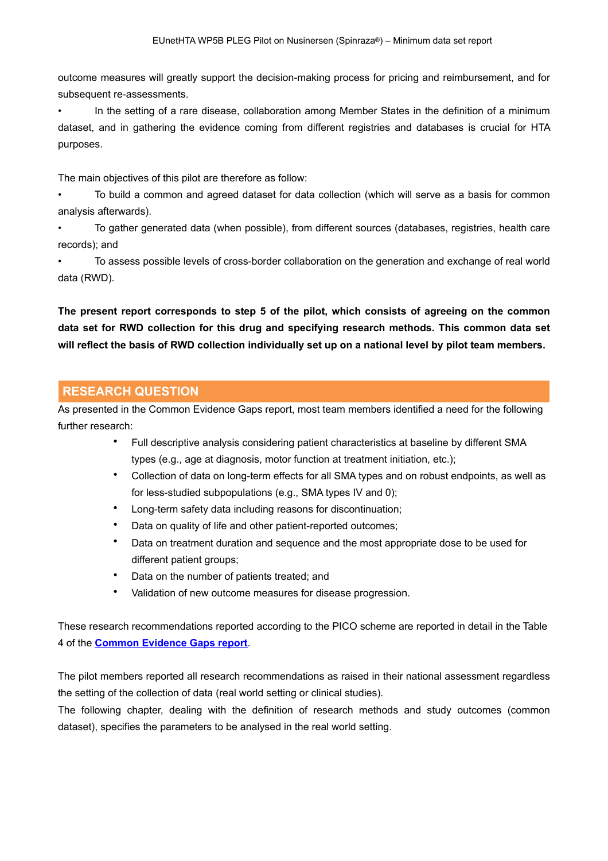outcome measures will greatly support the decision-making process for pricing and reimbursement, and for subsequent re-assessments.

• In the setting of a rare disease, collaboration among Member States in the definition of a minimum dataset, and in gathering the evidence coming from different registries and databases is crucial for HTA purposes.

The main objectives of this pilot are therefore as follow:

• To build a common and agreed dataset for data collection (which will serve as a basis for common analysis afterwards).

• To gather generated data (when possible), from different sources (databases, registries, health care records); and

• To assess possible levels of cross-border collaboration on the generation and exchange of real world data (RWD).

**The present report corresponds to step 5 of the pilot, which consists of agreeing on the common data set for RWD collection for this drug and specifying research methods. This common data set will reflect the basis of RWD collection individually set up on a national level by pilot team members.** 

## **RESEARCH QUESTION**

As presented in the Common Evidence Gaps report, most team members identified a need for the following further research:

- Full descriptive analysis considering patient characteristics at baseline by different SMA types (e.g., age at diagnosis, motor function at treatment initiation, etc.);
- Collection of data on long-term effects for all SMA types and on robust endpoints, as well as for less-studied subpopulations (e.g., SMA types IV and 0);
- Long-term safety data including reasons for discontinuation;
- Data on quality of life and other patient-reported outcomes;
- Data on treatment duration and sequence and the most appropriate dose to be used for different patient groups;
- Data on the number of patients treated; and
- Validation of new outcome measures for disease progression.

These research recommendations reported according to the PICO scheme are reported in detail in the Table 4 of the **[Common Evidence Gaps report](https://eunethta.eu/wp-content/uploads/2020/05/EUnetHTA-PLEG_FP_01_Nusinersen_Common-Evidence-Gaps-report.pdf)**.

The pilot members reported all research recommendations as raised in their national assessment regardless the setting of the collection of data (real world setting or clinical studies).

The following chapter, dealing with the definition of research methods and study outcomes (common dataset), specifies the parameters to be analysed in the real world setting.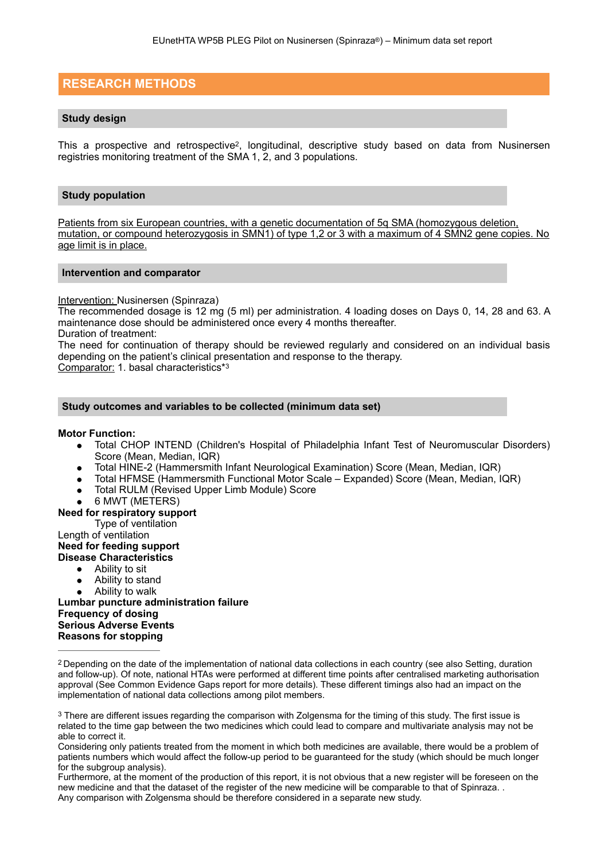## **RESEARCH METHODS**

#### <span id="page-5-2"></span>**Study design**

This a prospective and retrospective<sup>2</sup>[,](#page-5-0) longitudinal, descriptive study based on data from Nusinersen registries monitoring treatment of the SMA 1, 2, and 3 populations.

#### **Study population**

Patients from six European countries, with a genetic documentation of 5q SMA (homozygous deletion, mutation, or compound heterozygosis in SMN1) of type 1,2 or 3 with a maximum of 4 SMN2 gene copies. No age limit is in place.

#### **Intervention and comparator**

#### Intervention: Nusinersen (Spinraza)

The recommended dosage is 12 mg (5 ml) per administration. 4 loading doses on Days 0, 14, 28 and 63. A maintenance dose should be administered once every 4 months thereafter.

Duration of treatment:

The need for continuation of therapy should be reviewed regularly and considered on an individual basis depending on the patient's clinical presentation and response to the therapy.

Comparator: 1. basal characteristics\*[3](#page-5-1)

#### **Study outcomes and variables to be collected (minimum data set)**

#### **Motor Function:**

- <span id="page-5-3"></span>● Total CHOP INTEND (Children's Hospital of Philadelphia Infant Test of Neuromuscular Disorders) Score (Mean, Median, IQR)
- Total HINE-2 (Hammersmith Infant Neurological Examination) Score (Mean, Median, IQR)
- Total HFMSE (Hammersmith Functional Motor Scale Expanded) Score (Mean, Median, IQR)
- Total RULM (Revised Upper Limb Module) Score
- 6 MWT (METERS)

#### **Need for respiratory support**

Type of ventilation

Length of ventilation

#### **Need for feeding support Disease Characteristics**

- Ability to sit
- Ability to stand
- Ability to walk

**Lumbar puncture administration failure Frequency of dosing Serious Adverse Events Reasons for stopping** 

Considering only patients treated from the moment in which both medicines are available, there would be a problem of patients numbers which would affect the follow-up period to be guaranteed for the study (which should be much longer for the subgroup analysis).

Furthermore, at the moment of the production of this report, it is not obvious that a new register will be foreseen on the new medicine and that the dataset of the register of the new medicine will be comparable to that of Spinraza. . Any comparison with Zolgensma should be therefore considered in a separate new study.

<span id="page-5-0"></span>Depending on the date of the implementation of national data collections in each country (see also Setting, duration [2](#page-5-2) and follow-up). Of note, national HTAs were performed at different time points after centralised marketing authorisation approval (See [Common Evidence Gaps report](https://eunethta.eu/wp-content/uploads/2020/05/EUnetHTA-PLEG_FP_01_Nusinersen_Common-Evidence-Gaps-report.pdf) for more details). These different timings also had an impact on the implementation of national data collections among pilot members.

<span id="page-5-1"></span><sup>&</sup>lt;sup>[3](#page-5-3)</sup> There are different issues regarding the comparison with Zolgensma for the timing of this study. The first issue is related to the time gap between the two medicines which could lead to compare and multivariate analysis may not be able to correct it.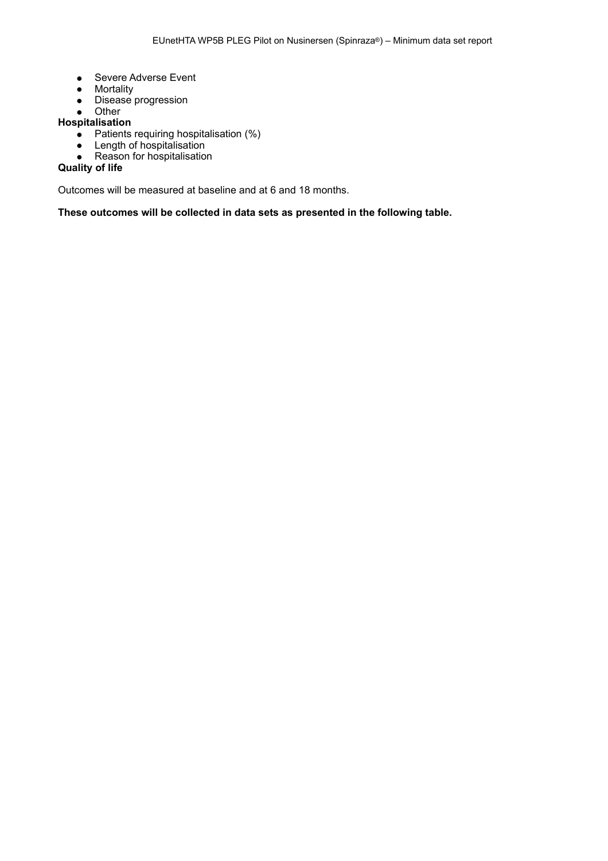- Severe Adverse Event
- Mortality
- Disease progression
- Other

## **Hospitalisation**

- Patients requiring hospitalisation (%)
- Length of hospitalisation
- Reason for hospitalisation

### **Quality of life**

Outcomes will be measured at baseline and at 6 and 18 months.

**These outcomes will be collected in data sets as presented in the following table.**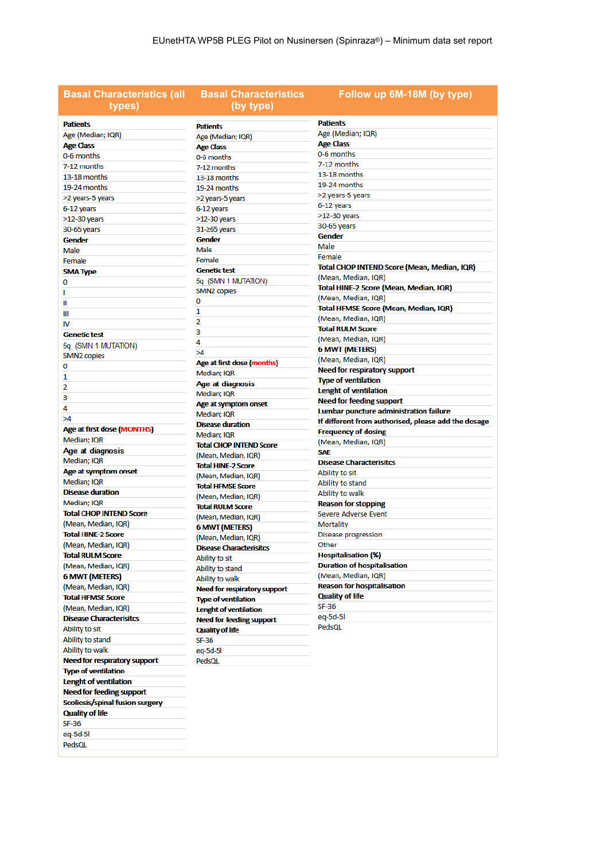| <b>Basal Characteristics (all</b><br>types) | <b>Basal Characteristics</b><br>(by type) | Follow up 6M-18M (by type)                          |
|---------------------------------------------|-------------------------------------------|-----------------------------------------------------|
| <b>Patients</b>                             | <b>Patients</b>                           | <b>Patients</b>                                     |
| Age (Median; IQR)                           | Age (Median; IQR)                         | Age (Median; IQR)                                   |
| <b>Age Class</b>                            | <b>Age Class</b>                          | <b>Age Class</b>                                    |
| 0-6 months                                  | 0-6 months                                | 0-6 months                                          |
| 7-12 months                                 | 7-12 months                               | 7-12 months                                         |
| 13-18 months                                | 13-18 months                              | 13-18 months                                        |
| 19-24 months                                | 19-24 months                              | 19-24 months                                        |
| >2 years-5 years                            | >2 years-5 years                          | >2 years-5 years                                    |
| 6-12 years                                  | 6-12 years                                | 6-12 years                                          |
| $>12-30$ years                              | >12-30 years                              | $>12-30$ years                                      |
| 30-65 years                                 | $31 - 265$ years                          | 30-65 years                                         |
| <b>Gender</b>                               | <b>Gender</b>                             | <b>Gender</b>                                       |
|                                             | Male                                      | Male                                                |
| Male                                        | Female                                    | Female                                              |
| Female                                      | <b>Genetic test</b>                       | Total CHOP INTEND Score (Mean, Median, IQR)         |
| <b>SMA Type</b>                             |                                           | (Mean, Median, IQR)                                 |
| o                                           | 5q (SMN 1 MUTATION)                       | Total HINE-2 Score (Mean, Median, IQR)              |
| L                                           | SMN <sub>2</sub> copies                   | (Mean, Median, IQR)                                 |
| Ш                                           | 0                                         | Total HFMSE Score (Mean, Median, IQR)               |
| Ш                                           | 1                                         | (Mean, Median, IQR)                                 |
| IV                                          | 2                                         | <b>Total RULM Score</b>                             |
| <b>Genetic test</b>                         | 3                                         | (Mean, Median, IQR)                                 |
| 5q (SMN 1 MUTATION)                         | 4                                         | <b>6 MWT (METERS)</b>                               |
| SMN <sub>2</sub> copies                     | >4                                        | (Mean, Median, IQR)                                 |
| 0                                           | Age at first dose (months)                | Need for respiratory support                        |
| 1                                           | Median; IQR                               | <b>Type of ventilation</b>                          |
| 2                                           | Age at diagnosis                          | <b>Lenght of ventilation</b>                        |
| 3                                           | Median; IQR                               | <b>Need for feeding support</b>                     |
| 4                                           | Age at symptom onset                      | Lumbar puncture administration failure              |
| >4                                          | Median; IQR                               | If different from authorised, please add the dosage |
| Age at first dose (MONTHS)                  | <b>Disease duration</b>                   | <b>Frequency of dosing</b>                          |
| Median; IQR                                 | Median; IQR                               | (Mean, Median, IQR)                                 |
| Age at diagnosis                            | <b>Total CHOP INTEND Score</b>            | <b>SAE</b>                                          |
| Median; IQR                                 | (Mean, Median, IQR)                       | <b>Disease Characterisitcs</b>                      |
| Age at symptom onset                        | <b>Total HINE-2 Score</b>                 | Ability to sit                                      |
| Median; IQR                                 | (Mean, Median, IQR)                       | Ability to stand                                    |
| <b>Disease duration</b>                     | <b>Total HFMSE Score</b>                  | Ability to walk                                     |
| Median; IQR                                 | (Mean, Median, IQR)                       | <b>Reason for stopping</b>                          |
| <b>Total CHOP INTEND Score</b>              | <b>Total RULM Score</b>                   | Severe Adverse Event                                |
| (Mean, Median, IQR)                         | (Mean, Median, IQR)                       | Mortality                                           |
| <b>Total HINE-2 Score</b>                   | <b>6 MWT (METERS)</b>                     | Disease progression                                 |
| (Mean, Median, IQR)                         | (Mean, Median, IQR)                       | Other                                               |
| <b>Total RULM Score</b>                     | <b>Disease Characterisitcs</b>            | <b>Hospitalisation (%)</b>                          |
|                                             | Ability to sit                            | <b>Duration of hospitalisation</b>                  |
| (Mean, Median, IQR)                         | Ability to stand                          | (Mean, Median, IQR)                                 |
| <b>6 MWT (METERS)</b>                       | Ability to walk                           | <b>Reason for hospitalisation</b>                   |
| (Mean, Median, IQR)                         | <b>Need for respiratory support</b>       | <b>Quality of life</b>                              |
| <b>Total HFMSE Score</b>                    | <b>Type of ventilation</b>                | SF-36                                               |
| (Mean, Median, IQR)                         | <b>Lenght of ventilation</b>              |                                                     |
| <b>Disease Characterisitcs</b>              | <b>Need for feeding support</b>           | eq-5d-5l<br>PedsQL                                  |
| Ability to sit                              | <b>Quality of life</b>                    |                                                     |
| Ability to stand                            | SF-36                                     |                                                     |
| Ability to walk                             | eq-5d-5l                                  |                                                     |
| Need for respiratory support                | PedsQL                                    |                                                     |
| <b>Type of ventilation</b>                  |                                           |                                                     |
| <b>Lenght of ventilation</b>                |                                           |                                                     |
| <b>Need for feeding support</b>             |                                           |                                                     |
| Scoliosis/spinal fusion surgery             |                                           |                                                     |
| <b>Quality of life</b>                      |                                           |                                                     |

eq-5d-5l PedsQL

 $SF-36$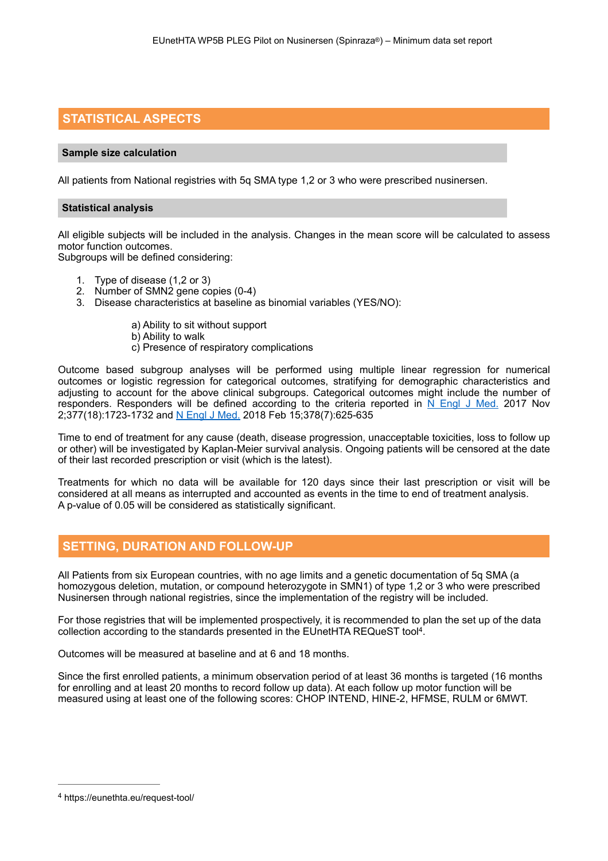# **STATISTICAL ASPECTS**

#### **Sample size calculation**

All patients from National registries with 5q SMA type 1,2 or 3 who were prescribed nusinersen.

#### **Statistical analysis**

All eligible subjects will be included in the analysis. Changes in the mean score will be calculated to assess motor function outcomes.

Subgroups will be defined considering:

- 1. Type of disease (1,2 or 3)
- 2. Number of SMN2 gene copies (0-4)
- 3. Disease characteristics at baseline as binomial variables (YES/NO):
	- a) Ability to sit without support b) Ability to walk c) Presence of respiratory complications

Outcome based subgroup analyses will be performed using multiple linear regression for numerical outcomes or logistic regression for categorical outcomes, stratifying for demographic characteristics and adjusting to account for the above clinical subgroups. Categorical outcomes might include the number of responders. Responders will be defined according to the criteria reported in  $\overline{N}$  Engl J Med. 2017 Nov 2;377(18):1723-1732 and [N Engl J Med.](https://www.ncbi.nlm.nih.gov/pubmed/29443664) 2018 Feb 15;378(7):625-635

Time to end of treatment for any cause (death, disease progression, unacceptable toxicities, loss to follow up or other) will be investigated by Kaplan-Meier survival analysis. Ongoing patients will be censored at the date of their last recorded prescription or visit (which is the latest).

Treatments for which no data will be available for 120 days since their last prescription or visit will be considered at all means as interrupted and accounted as events in the time to end of treatment analysis. A p-value of 0.05 will be considered as statistically significant.

### **SETTING, DURATION AND FOLLOW-UP**

All Patients from six European countries, with no age limits and a genetic documentation of 5q SMA (a homozygous deletion, mutation, or compound heterozygote in SMN1) of type 1,2 or 3 who were prescribed Nusinersen through national registries, since the implementation of the registry will be included.

<span id="page-8-1"></span>For those registries that will be implemented prospectively, it is recommended to plan the set up of the data collection according to the standards presented in the EUnetHTA REQueST tool<sup>4</sup>[.](#page-8-0)

Outcomes will be measured at baseline and at 6 and 18 months.

Since the first enrolled patients, a minimum observation period of at least 36 months is targeted (16 months for enrolling and at least 20 months to record follow up data). At each follow up motor function will be measured using at least one of the following scores: CHOP INTEND, HINE-2, HFMSE, RULM or 6MWT.

<span id="page-8-0"></span>https://eunethta.eu/request-tool/ [4](#page-8-1)